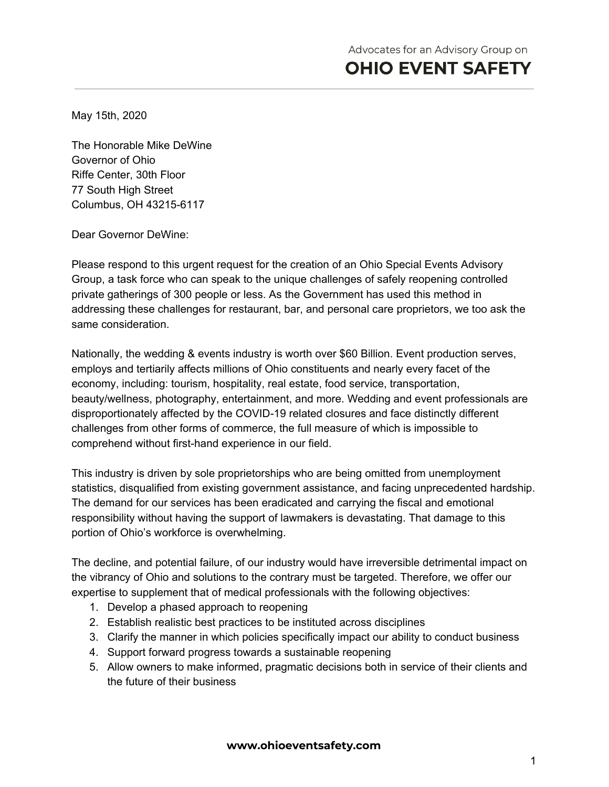May 15th, 2020

The Honorable Mike DeWine Governor of Ohio Riffe Center, 30th Floor 77 South High Street Columbus, OH 43215-6117

Dear Governor DeWine:

Please respond to this urgent request for the creation of an Ohio Special Events Advisory Group, a task force who can speak to the unique challenges of safely reopening controlled private gatherings of 300 people or less. As the Government has used this method in addressing these challenges for restaurant, bar, and personal care proprietors, we too ask the same consideration.

Nationally, the wedding & events industry is worth over \$60 Billion. Event production serves, employs and tertiarily affects millions of Ohio constituents and nearly every facet of the economy, including: tourism, hospitality, real estate, food service, transportation, beauty/wellness, photography, entertainment, and more. Wedding and event professionals are disproportionately affected by the COVID-19 related closures and face distinctly different challenges from other forms of commerce, the full measure of which is impossible to comprehend without first-hand experience in our field.

This industry is driven by sole proprietorships who are being omitted from unemployment statistics, disqualified from existing government assistance, and facing unprecedented hardship. The demand for our services has been eradicated and carrying the fiscal and emotional responsibility without having the support of lawmakers is devastating. That damage to this portion of Ohio's workforce is overwhelming.

The decline, and potential failure, of our industry would have irreversible detrimental impact on the vibrancy of Ohio and solutions to the contrary must be targeted. Therefore, we offer our expertise to supplement that of medical professionals with the following objectives:

- 1. Develop a phased approach to reopening
- 2. Establish realistic best practices to be instituted across disciplines
- 3. Clarify the manner in which policies specifically impact our ability to conduct business
- 4. Support forward progress towards a sustainable reopening
- 5. Allow owners to make informed, pragmatic decisions both in service of their clients and the future of their business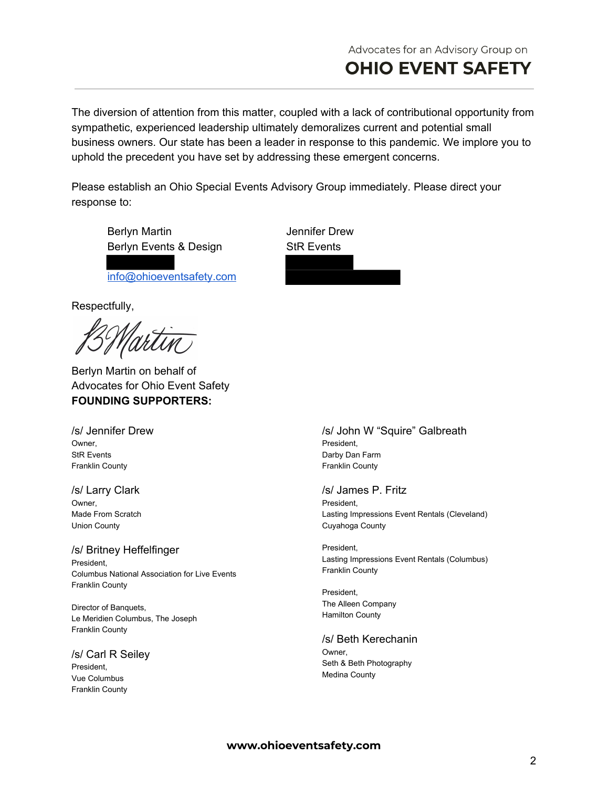The diversion of attention from this matter, coupled with a lack of contributional opportunity from sympathetic, experienced leadership ultimately demoralizes current and potential small business owners. Our state has been a leader in response to this pandemic. We implore you to uphold the precedent you have set by addressing these emergent concerns.

Please establish an Ohio Special Events Advisory Group immediately. Please direct your response to:

Berlyn Martin **International Communist Communist Communist Communist Communist Communist Communist Communist Communist Communist Communist Communist Communist Communist Communist Communist Communist Communist Communist Com** Berlyn Events & Design StR Events

[info@ohioeventsafety.com](mailto:info@ohioeventsafety.com)

Respectfully,

2 Martin

Berlyn Martin on behalf of Advocates for Ohio Event Safety **FOUNDING SUPPORTERS:**

/s/ Jennifer Drew Owner, StR Events Franklin County

/s/ Larry Clark Owner, Made From Scratch Union County

/s/ Britney Heffelfinger President, Columbus National Association for Live Events Franklin County

Director of Banquets, Le Meridien Columbus, The Joseph Franklin County

/s/ Carl R Seiley President, Vue Columbus Franklin County

### /s/ John W "Squire" Galbreath President, Darby Dan Farm Franklin County

/s/ James P. Fritz President, Lasting Impressions Event Rentals (Cleveland) Cuyahoga County

President, Lasting Impressions Event Rentals (Columbus) Franklin County

President, The Alleen Company Hamilton County

/s/ Beth Kerechanin Owner, Seth & Beth Photography Medina County